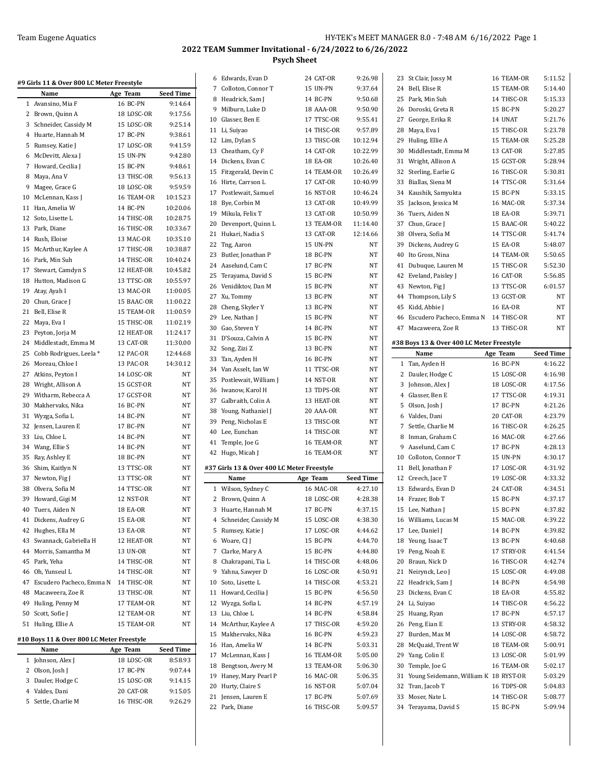## **2022 TEAM Summer Invitational - 6/24/2022 to 6/26/2022 Psych Sheet**

| #9 Girls 11 & Over 800 LC Meter Freestyle |            |                  | 6 Edwards, Evan D                          | 24 CAT-OR              | 9:26.98            | 23 St Clair, Jossy M                      | 16 TEAM-OR             | 5:11.52                       |
|-------------------------------------------|------------|------------------|--------------------------------------------|------------------------|--------------------|-------------------------------------------|------------------------|-------------------------------|
| Name                                      | Age Team   | <b>Seed Time</b> | 7 Colloton, Connor T                       | 15 UN-PN               | 9:37.64            | 24 Bell, Elise R                          | 15 TEAM-OR             | 5:14.40                       |
| 1 Avansino, Mia F                         | 16 BC-PN   | 9:14.64          | 8 Headrick, Sam J                          | 14 BC-PN               | 9:50.68            | 25 Park, Min Suh                          | 14 THSC-OR             | 5:15.33                       |
| 2 Brown, Quinn A                          | 18 LOSC-OR | 9:17.56          | 9 Milburn, Luke D                          | 18 AAA-OR              | 9:50.90            | 26 Doroski, Greta R                       | 15 BC-PN               | 5:20.27                       |
|                                           | 15 LOSC-OR | 9:25.14          | 10 Glasser, Ben E                          | 17 TTSC-OR             | 9:55.41            | 27 George, Erika R                        | 14 UNAT                | 5:21.76                       |
| 3 Schneider, Cassidy M                    |            |                  | 11 Li, Suiyao                              | 14 THSC-OR             | 9:57.89            | 28 Maya, Eva I                            | 15 THSC-OR             | 5:23.78                       |
| 4 Huarte, Hannah M                        | 17 BC-PN   | 9:38.61          | 12 Lim, Dylan S                            | 13 THSC-OR             | 10:12.94           | 29 Huling, Ellie A                        | 15 TEAM-OR             | 5:25.28                       |
| 5 Rumsey, Katie J                         | 17 LOSC-OR | 9:41.59          | 13 Cheatham, Cy F                          | 14 CAT-OR              | 10:22.99           | 30 Middlestadt, Emma M                    | 13 CAT-OR              | 5:27.85                       |
| 6 McDevitt, Alexa J                       | 15 UN-PN   | 9:42.80          | 14 Dickens, Evan C                         | 18 EA-OR               | 10:26.40           | 31 Wright, Allison A                      | 15 GCST-OR             | 5:28.94                       |
| 7 Howard, Cecilia J                       | 15 BC-PN   | 9:48.61          | 15 Fitzgerald, Devin C                     | 14 TEAM-OR             | 10:26.49           | 32 Sterling, Earlie G                     | 16 THSC-OR             | 5:30.81                       |
| 8 Maya, Ana V                             | 13 THSC-OR | 9:56.13          | 16 Hirte, Carrson L                        | 17 CAT-OR              | 10:40.99           | 33 Biallas, Siena M                       | 14 TTSC-OR             | 5:31.64                       |
| 9 Magee, Grace G                          | 18 LOSC-OR | 9:59.59          |                                            |                        |                    |                                           | 15 BC-PN               |                               |
| 10 McLennan, Kass J                       | 16 TEAM-OR | 10:15.23         | 17 Postlewait, Samuel                      | 16 NST-OR              | 10:46.24           | 34 Kaushik, Samyukta                      |                        | 5:33.15                       |
| 11 Han, Amelia W                          | 14 BC-PN   | 10:20.06         | 18 Bye, Corbin M                           | 13 CAT-OR              | 10:49.99           | 35 Jackson, Jessica M                     | <b>16 MAC-OR</b>       | 5:37.34                       |
| 12 Soto, Lisette L                        | 14 THSC-OR | 10:28.75         | 19 Mikula, Felix T                         | 13 CAT-OR              | 10:50.99           | 36 Tuers, Aiden N                         | 18 EA-OR               | 5:39.71                       |
| 13 Park, Diane                            | 16 THSC-OR | 10:33.67         | 20 Devenport, Quinn L                      | 13 TEAM-OR             | 11:14.40           | 37 Chun, Grace J                          | 15 BAAC-OR             | 5:40.22                       |
| 14 Rush, Eloise                           | 13 MAC-OR  | 10:35.10         | 21 Hukari, Nadia S                         | 13 CAT-OR              | 12:14.66           | 38 Olvera, Sofia M                        | 14 TTSC-OR             | 5:41.74                       |
| 15 McArthur, Kaylee A                     | 17 THSC-OR | 10:38.87         | 22 Tng, Aaron                              | 15 UN-PN               | NT                 | 39 Dickens, Audrey G                      | 15 EA-OR               | 5:48.07                       |
| 16 Park, Min Suh                          | 14 THSC-OR | 10:40.24         | 23 Butler, Jonathan P                      | 18 BC-PN               | NT                 | 40 Ito Gross, Nina                        | 14 TEAM-OR             | 5:50.65                       |
| 17 Stewart, Camdyn S                      |            |                  | 24 Aaselund, Cam C                         | 17 BC-PN               | NT                 | 41 Dubuque, Lauren M                      | 15 THSC-OR             | 5:52.30                       |
|                                           | 12 HEAT-OR | 10:45.82         | 25 Terayama, David S                       | 15 BC-PN               | NT                 | 42 Eveland, Paisley J                     | 16 CAT-OR              | 5:56.85                       |
| 18 Hutton, Madison G                      | 13 TTSC-OR | 10:55.97         | 26 Venidiktov, Dan M                       | 15 BC-PN               | $_{\rm NT}$        | 43 Newton, Fig J                          | 13 TTSC-OR             | 6:01.57                       |
| 19 Atay, Ayah I                           | 13 MAC-OR  | 11:00.05         | 27 Xu, Tommy                               | 13 BC-PN               | NT                 | 44 Thompson, Lily S                       | 13 GCST-OR             |                               |
| 20 Chun, Grace J                          | 15 BAAC-OR | 11:00.22         | 28 Cheng, Skyler Y                         | 13 BC-PN               | NT                 | 45 Kidd, Abbie J                          | 16 EA-OR               |                               |
| 21 Bell, Elise R                          | 15 TEAM-OR | 11:00.59         | 29 Lee, Nathan J                           | 15 BC-PN               | NT                 | 46 Escudero Pacheco, Emma N               | 14 THSC-OR             |                               |
| 22 Maya, Eva I                            | 15 THSC-OR | 11:02.19         | 30 Gao, Steven Y                           | 14 BC-PN               | NT                 | 47 Macaweera, Zoe R                       | 13 THSC-OR             |                               |
| 23 Peyton, Jorja M                        | 12 HEAT-OR | 11:24.17         | 31 D'Souza, Calvin A                       | 15 BC-PN               | NT                 |                                           |                        |                               |
| 24 Middlestadt, Emma M                    | 13 CAT-OR  | 11:30.00         |                                            | 13 BC-PN               | NT                 | #38 Boys 13 & Over 400 LC Meter Freestyle |                        |                               |
| 25 Cobb Rodrigues, Leela *                | 12 PAC-OR  | 12:44.68         | 32 Song, Zizi Z                            |                        |                    | Name                                      | Age Team               | <b>Seed Time</b>              |
| 26 Moreau, Chloe I                        | 13 PAC-OR  | 14:30.12         | 33 Tan, Ayden H                            | 16 BC-PN               | NT                 | 1 Tan, Ayden H                            | 16 BC-PN               | 4:16.22                       |
| 27 Atkins, Peyton I                       | 14 LOSC-OR | NT               | 34 Van Asselt, Ian W                       | 11 TTSC-OR             | NT                 | 2 Dauler, Hodge C                         | 15 LOSC-OR             | 4:16.98                       |
| 28 Wright, Allison A                      | 15 GCST-OR | $_{\rm NT}$      | 35 Postlewait, William J                   | 14 NST-OR              | NT                 | 3 Johnson, Alex J                         | 18 LOSC-OR             | 4:17.56                       |
| 29 Witharm, Rebecca A                     | 17 GCST-OR | NT               | 36 Iwanow, Karol H                         | 13 TDPS-OR             | NT                 | 4 Glasser, Ben E                          | 17 TTSC-OR             | 4:19.31                       |
| 30 Makhervaks, Nika                       | 16 BC-PN   | NT               | 37 Galbraith, Colin A                      | 13 HEAT-OR             | NT                 | 5 Olson, Josh J                           | 17 BC-PN               | 4:21.26                       |
| 31 Wyzga, Sofia L                         | 14 BC-PN   | NT               | 38 Young, Nathaniel J                      | 20 AAA-OR              | NT                 | 6 Valdes, Dani                            | 20 CAT-OR              | 4:23.79                       |
| 32 Jensen, Lauren E                       | 17 BC-PN   | NT               | 39 Peng, Nicholas E                        | 13 THSC-OR             | NT                 | 7 Settle, Charlie M                       | 16 THSC-OR             | 4:26.25                       |
|                                           |            | NT               | 40 Lee, Eunchan                            | 14 THSC-OR             | NT                 |                                           |                        | 4:27.66                       |
| 33 Liu, Chloe L                           | 14 BC-PN   |                  | 41 Temple, Joe G                           | 16 TEAM-OR             | $_{\rm NT}$        | 8 Inman, Graham C                         | 16 MAC-OR              |                               |
| 34 Wang, Ellie S                          | 14 BC-PN   | NT               | 42 Hugo, Micah J                           | 16 TEAM-OR             | NT                 | 9 Aaselund, Cam C                         | 17 BC-PN               | 4:28.13                       |
| 35 Ray, Ashley E                          | 18 BC-PN   | NT               |                                            |                        |                    | 10 Colloton, Connor T                     | 15 UN-PN               | 4:30.17                       |
| 36 Shim, Kaitlyn N                        | 13 TTSC-OR | NT               | #37 Girls 13 & Over 400 LC Meter Freestyle |                        |                    | 11 Bell, Jonathan F                       | 17 LOSC-OR             | 4:31.92                       |
| 37 Newton, Fig J                          | 13 TTSC-OR | NT               | Name                                       | Age Team               | <b>Seed Time</b>   | 12 Creech, Jace T                         | 19 LOSC-OR             | 4:33.32                       |
| 38 Olvera, Sofia M                        | 14 TTSC-OR | NT               | 1 Wilson, Sydney C                         | 16 MAC-OR              | 4:27.10            | 13 Edwards, Evan D                        | 24 CAT-OR              | 4:34.51                       |
| 39 Howard, Gigi M                         | 12 NST-OR  | $_{\rm NT}$      | 2 Brown, Quinn A                           | 18 LOSC-OR             | 4:28.38            | 14 Frazer, Bob T                          | 15 BC-PN               | 4:37.17                       |
| 40 Tuers, Aiden N                         | 18 EA-OR   | NT               | 3 Huarte, Hannah M                         | 17 BC-PN               | 4:37.15            | 15 Lee, Nathan J                          | 15 BC-PN               | 4:37.82                       |
| 41 Dickens, Audrey G                      | 15 EA-OR   | NT               | 4 Schneider, Cassidy M                     | 15 LOSC-OR             | 4:38.30            | 16 Williams, Lucas M                      | 15 MAC-OR              | 4:39.22                       |
| 42 Hughes, Ella M                         | 13 EA-OR   | NT               | 5 Rumsey, Katie J                          | 17 LOSC-OR             | 4.44.62            | 17 Lee, Daniel J                          | 14 BC-PN               | 4:39.82                       |
| 43 Swannack, Gabriella H                  | 12 HEAT-OR | NT               | 6 Woare, CJ J                              | 15 BC-PN               | 4:44.70            | 18 Yeung, Isaac T                         | 13 BC-PN               | 4:40.68                       |
| 44 Morris, Samantha M                     | 13 UN-OR   | NT               | 7 Clarke, Mary A                           | 15 BC-PN               | 4:44.80            | 19 Peng, Noah E                           | 17 STRY-OR             | 4:41.54                       |
| 45 Park, Yeha                             | 14 THSC-OR | NT               | 8 Chakrapani, Tia L                        | 14 THSC-OR             | 4:48.06            | 20 Braun, Nick D                          | 16 THSC-OR             | 4:42.74                       |
| 46 Oh, Yunseul L                          | 14 THSC-OR | NT               | 9 Yahna, Sawyer D                          | 16 LOSC-OR             | 4:50.91            | 21 Neirynck, Leo J                        | 15 LOSC-OR             | 4:49.08                       |
| 47 Escudero Pacheco, Emma N               | 14 THSC-OR | NT               | 10 Soto, Lisette L                         | 14 THSC-OR             | 4:53.21            | 22 Headrick, Sam J                        | 14 BC-PN               | 4:54.98                       |
|                                           |            |                  |                                            |                        |                    |                                           |                        |                               |
| 48 Macaweera, Zoe R                       | 13 THSC-OR | NT               | 11 Howard, Cecilia J                       | 15 BC-PN               | 4:56.50            | 23 Dickens, Evan C                        | 18 EA-OR               | 4:55.82                       |
| 49 Huling, Penny M                        | 17 TEAM-OR | NT               | 12 Wyzga, Sofia L                          | 14 BC-PN               | 4:57.19            | 24 Li, Suiyao                             | 14 THSC-OR             | 4:56.22                       |
| 50 Scott, Sofie J                         | 12 TEAM-OR | NT               | 13 Liu, Chloe L                            | 14 BC-PN               | 4:58.84            | 25 Huang, Ryan                            | 17 BC-PN               | 4:57.17                       |
| 51 Huling, Ellie A                        | 15 TEAM-OR | NT               | 14 McArthur, Kaylee A                      | 17 THSC-OR             | 4:59.20            | 26 Peng, Eian E                           | 13 STRY-OR             | 4:58.32                       |
| #10 Boys 11 & Over 800 LC Meter Freestyle |            |                  | 15 Makhervaks, Nika                        | 16 BC-PN               | 4:59.23            | 27 Burden, Max M                          | 14 LOSC-OR             | 4:58.72                       |
|                                           |            | <b>Seed Time</b> | 16 Han, Amelia W                           | 14 BC-PN               | 5:03.31            | 28 McQuaid, Trent W                       | 18 TEAM-OR             | 5:00.91                       |
| Name                                      | Age Team   |                  | 17 McLennan, Kass J                        | 16 TEAM-OR             | 5:05.00            | 29 Yang, Colin E                          | 13 LOSC-OR             | 5:01.99                       |
| 1 Johnson, Alex J                         | 18 LOSC-OR | 8:58.93          | 18 Bengtson, Avery M                       | 13 TEAM-OR             | 5:06.30            | 30 Temple, Joe G                          | 16 TEAM-OR             | 5:02.17                       |
| 2 Olson, Josh J                           | 17 BC-PN   | 9:07.44          | 19 Haney, Mary Pearl P                     | 16 MAC-OR              | 5:06.35            | 31 Young Seidemann, William K 18 RYST-OR  |                        | 5:03.29                       |
|                                           |            |                  |                                            |                        |                    |                                           |                        |                               |
| 3 Dauler, Hodge C                         | 15 LOSC-OR | 9:14.15          |                                            |                        |                    |                                           |                        |                               |
| 4 Valdes, Dani                            | 20 CAT-OR  | 9:15.05          | 20 Hurty, Claire S                         | 16 NST-OR              | 5:07.04            | 32 Tran, Jacob T                          | 16 TDPS-OR             |                               |
| 5 Settle, Charlie M                       | 16 THSC-OR | 9:26.29          | 21 Jensen, Lauren E<br>22 Park, Diane      | 17 BC-PN<br>16 THSC-OR | 5:07.69<br>5:09.57 | 33 Moser, Nate L<br>34 Terayama, David S  | 14 THSC-OR<br>15 BC-PN | 5:04.83<br>5:08.77<br>5:09.94 |